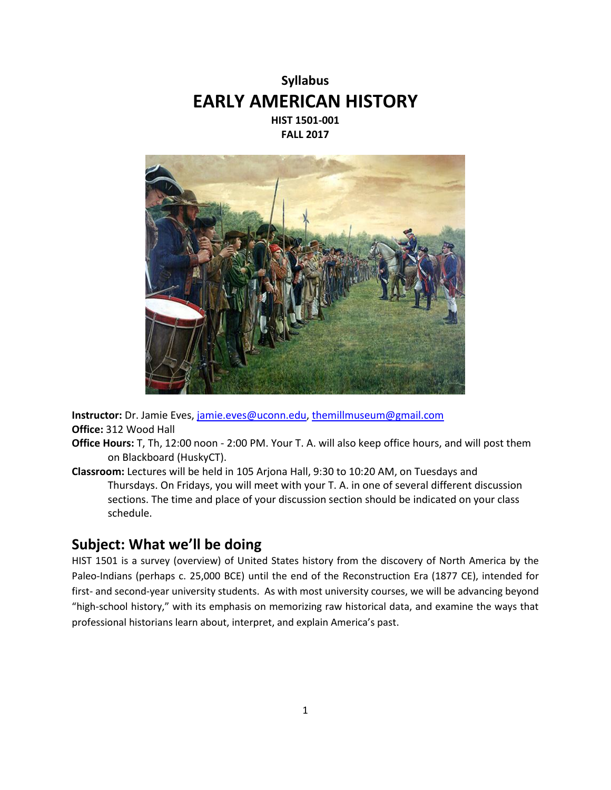



**Instructor:** Dr. Jamie Eves, [jamie.eves@uconn.edu,](mailto:jamie.eves@uconn.edu) [themillmuseum@gmail.com](mailto:themillmuseum@gmail.com) **Office:** 312 Wood Hall

- **Office Hours:** T, Th, 12:00 noon 2:00 PM. Your T. A. will also keep office hours, and will post them on Blackboard (HuskyCT).
- **Classroom:** Lectures will be held in 105 Arjona Hall, 9:30 to 10:20 AM, on Tuesdays and Thursdays. On Fridays, you will meet with your T. A. in one of several different discussion sections. The time and place of your discussion section should be indicated on your class schedule.

# **Subject: What we'll be doing**

HIST 1501 is a survey (overview) of United States history from the discovery of North America by the Paleo-Indians (perhaps c. 25,000 BCE) until the end of the Reconstruction Era (1877 CE), intended for first- and second-year university students. As with most university courses, we will be advancing beyond "high-school history," with its emphasis on memorizing raw historical data, and examine the ways that professional historians learn about, interpret, and explain America's past.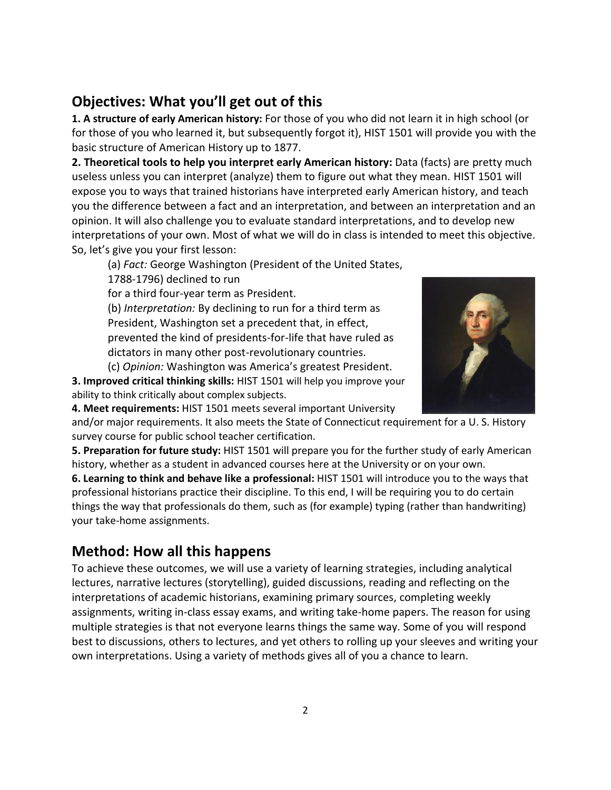# **Objectives: What you'll get out of this**

**1. A structure of early American history:** For those of you who did not learn it in high school (or for those of you who learned it, but subsequently forgot it), HIST 1501 will provide you with the basic structure of American History up to 1877.

**2. Theoretical tools to help you interpret early American history:** Data (facts) are pretty much useless unless you can interpret (analyze) them to figure out what they mean. HIST 1501 will expose you to ways that trained historians have interpreted early American history, and teach you the difference between a fact and an interpretation, and between an interpretation and an opinion. It will also challenge you to evaluate standard interpretations, and to develop new interpretations of your own. Most of what we will do in class is intended to meet this objective. So, let's give you your first lesson:

(a) *Fact:* George Washington (President of the United States,

1788-1796) declined to run

for a third four-year term as President.

(b) *Interpretation:* By declining to run for a third term as President, Washington set a precedent that, in effect, prevented the kind of presidents-for-life that have ruled as dictators in many other post-revolutionary countries.



**4. Meet requirements:** HIST 1501 meets several important University

and/or major requirements. It also meets the State of Connecticut requirement for a U. S. History survey course for public school teacher certification.

**5. Preparation for future study:** HIST 1501 will prepare you for the further study of early American history, whether as a student in advanced courses here at the University or on your own.

**6. Learning to think and behave like a professional:** HIST 1501 will introduce you to the ways that professional historians practice their discipline. To this end, I will be requiring you to do certain things the way that professionals do them, such as (for example) typing (rather than handwriting) your take-home assignments.

# **Method: How all this happens**

To achieve these outcomes, we will use a variety of learning strategies, including analytical lectures, narrative lectures (storytelling), guided discussions, reading and reflecting on the interpretations of academic historians, examining primary sources, completing weekly assignments, writing in-class essay exams, and writing take-home papers. The reason for using multiple strategies is that not everyone learns things the same way. Some of you will respond best to discussions, others to lectures, and yet others to rolling up your sleeves and writing your own interpretations. Using a variety of methods gives all of you a chance to learn.

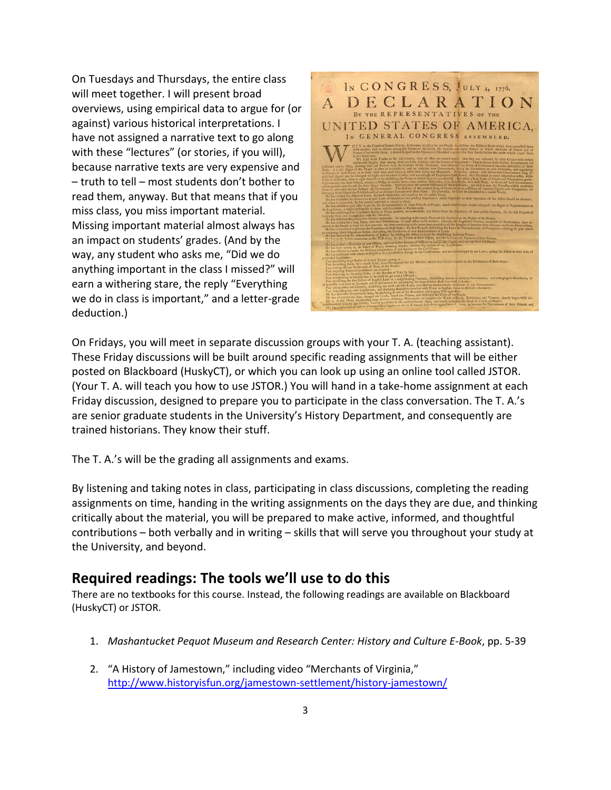On Tuesdays and Thursdays, the entire class will meet together. I will present broad overviews, using empirical data to argue for (or against) various historical interpretations. I have not assigned a narrative text to go along with these "lectures" (or stories, if you will), because narrative texts are very expensive and – truth to tell – most students don't bother to read them, anyway. But that means that if you miss class, you miss important material. Missing important material almost always has an impact on students' grades. (And by the way, any student who asks me, "Did we do anything important in the class I missed?" will earn a withering stare, the reply "Everything we do in class is important," and a letter-grade deduction.)



On Fridays, you will meet in separate discussion groups with your T. A. (teaching assistant). These Friday discussions will be built around specific reading assignments that will be either posted on Blackboard (HuskyCT), or which you can look up using an online tool called JSTOR. (Your T. A. will teach you how to use JSTOR.) You will hand in a take-home assignment at each Friday discussion, designed to prepare you to participate in the class conversation. The T. A.'s are senior graduate students in the University's History Department, and consequently are trained historians. They know their stuff.

The T. A.'s will be the grading all assignments and exams.

By listening and taking notes in class, participating in class discussions, completing the reading assignments on time, handing in the writing assignments on the days they are due, and thinking critically about the material, you will be prepared to make active, informed, and thoughtful contributions – both verbally and in writing – skills that will serve you throughout your study at the University, and beyond.

## **Required readings: The tools we'll use to do this**

There are no textbooks for this course. Instead, the following readings are available on Blackboard (HuskyCT) or JSTOR.

- 1. *Mashantucket Pequot Museum and Research Center: History and Culture E-Book*, pp. 5-39
- 2. "A History of Jamestown," including video "Merchants of Virginia," <http://www.historyisfun.org/jamestown-settlement/history-jamestown/>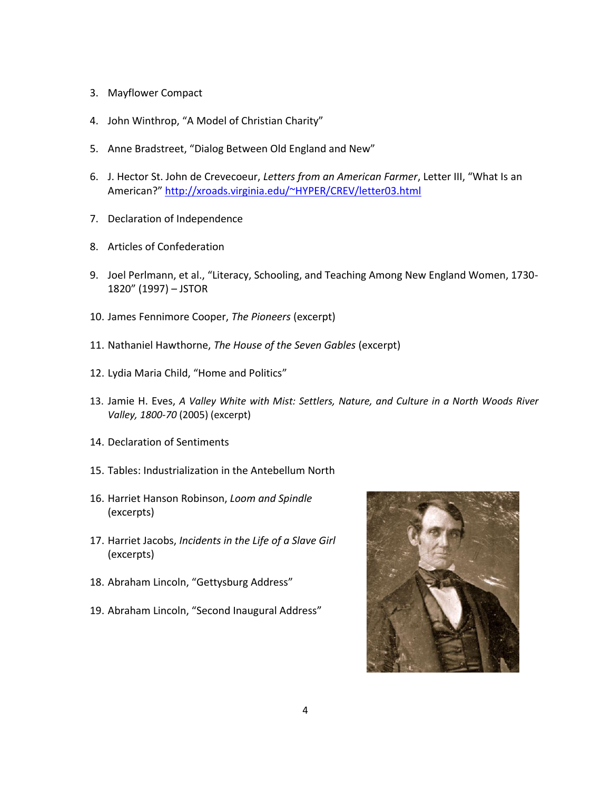- 3. Mayflower Compact
- 4. John Winthrop, "A Model of Christian Charity"
- 5. Anne Bradstreet, "Dialog Between Old England and New"
- 6. J. Hector St. John de Crevecoeur, *Letters from an American Farmer*, Letter III, "What Is an American?" <http://xroads.virginia.edu/~HYPER/CREV/letter03.html>
- 7. Declaration of Independence
- 8. Articles of Confederation
- 9. Joel Perlmann, et al., "Literacy, Schooling, and Teaching Among New England Women, 1730- 1820" (1997) – JSTOR
- 10. James Fennimore Cooper, *The Pioneers* (excerpt)
- 11. Nathaniel Hawthorne, *The House of the Seven Gables* (excerpt)
- 12. Lydia Maria Child, "Home and Politics"
- 13. Jamie H. Eves, *A Valley White with Mist: Settlers, Nature, and Culture in a North Woods River Valley, 1800-70* (2005) (excerpt)
- 14. Declaration of Sentiments
- 15. Tables: Industrialization in the Antebellum North
- 16. Harriet Hanson Robinson, *Loom and Spindle*  (excerpts)
- 17. Harriet Jacobs, *Incidents in the Life of a Slave Girl* (excerpts)
- 18. Abraham Lincoln, "Gettysburg Address"
- 19. Abraham Lincoln, "Second Inaugural Address"

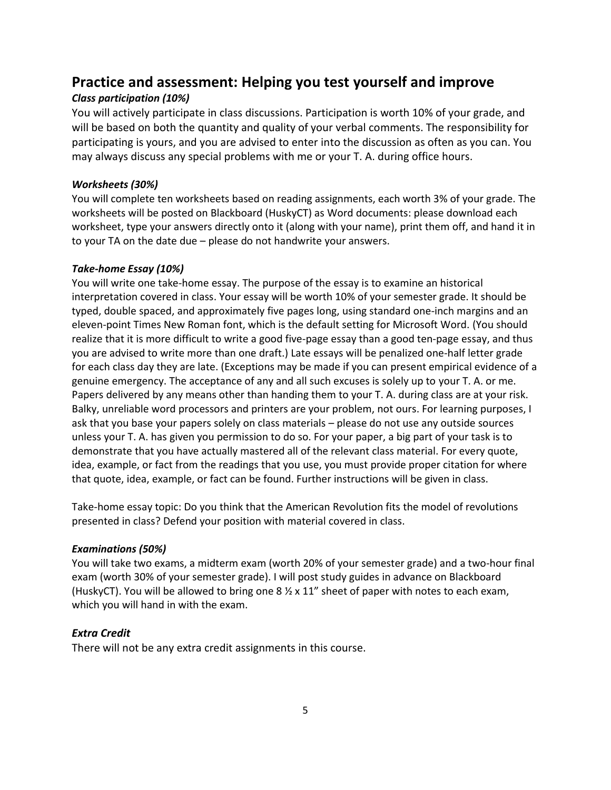# **Practice and assessment: Helping you test yourself and improve**

## *Class participation (10%)*

You will actively participate in class discussions. Participation is worth 10% of your grade, and will be based on both the quantity and quality of your verbal comments. The responsibility for participating is yours, and you are advised to enter into the discussion as often as you can. You may always discuss any special problems with me or your T. A. during office hours.

### *Worksheets (30%)*

You will complete ten worksheets based on reading assignments, each worth 3% of your grade. The worksheets will be posted on Blackboard (HuskyCT) as Word documents: please download each worksheet, type your answers directly onto it (along with your name), print them off, and hand it in to your TA on the date due – please do not handwrite your answers.

#### *Take-home Essay (10%)*

You will write one take-home essay. The purpose of the essay is to examine an historical interpretation covered in class. Your essay will be worth 10% of your semester grade. It should be typed, double spaced, and approximately five pages long, using standard one-inch margins and an eleven-point Times New Roman font, which is the default setting for Microsoft Word. (You should realize that it is more difficult to write a good five-page essay than a good ten-page essay, and thus you are advised to write more than one draft.) Late essays will be penalized one-half letter grade for each class day they are late. (Exceptions may be made if you can present empirical evidence of a genuine emergency. The acceptance of any and all such excuses is solely up to your T. A. or me. Papers delivered by any means other than handing them to your T. A. during class are at your risk. Balky, unreliable word processors and printers are your problem, not ours. For learning purposes, I ask that you base your papers solely on class materials – please do not use any outside sources unless your T. A. has given you permission to do so. For your paper, a big part of your task is to demonstrate that you have actually mastered all of the relevant class material. For every quote, idea, example, or fact from the readings that you use, you must provide proper citation for where that quote, idea, example, or fact can be found. Further instructions will be given in class.

Take-home essay topic: Do you think that the American Revolution fits the model of revolutions presented in class? Defend your position with material covered in class.

### *Examinations (50%)*

You will take two exams, a midterm exam (worth 20% of your semester grade) and a two-hour final exam (worth 30% of your semester grade). I will post study guides in advance on Blackboard (HuskyCT). You will be allowed to bring one  $8 \frac{1}{2} \times 11$ " sheet of paper with notes to each exam, which you will hand in with the exam.

### *Extra Credit*

There will not be any extra credit assignments in this course.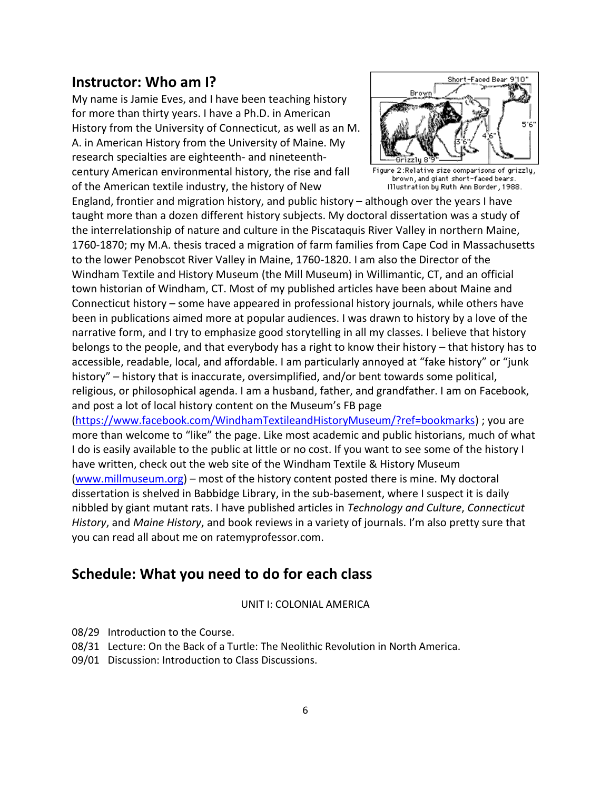# **Instructor: Who am I?**

My name is Jamie Eves, and I have been teaching history for more than thirty years. I have a Ph.D. in American History from the University of Connecticut, as well as an M. A. in American History from the University of Maine. My research specialties are eighteenth- and nineteenthcentury American environmental history, the rise and fall of the American textile industry, the history of New



2:Relative size comparisons of grizzly, brown, and giant short-faced bears. Illustration by Ruth Ann Border, 1988.

England, frontier and migration history, and public history – although over the years I have taught more than a dozen different history subjects. My doctoral dissertation was a study of the interrelationship of nature and culture in the Piscataquis River Valley in northern Maine, 1760-1870; my M.A. thesis traced a migration of farm families from Cape Cod in Massachusetts to the lower Penobscot River Valley in Maine, 1760-1820. I am also the Director of the Windham Textile and History Museum (the Mill Museum) in Willimantic, CT, and an official town historian of Windham, CT. Most of my published articles have been about Maine and Connecticut history – some have appeared in professional history journals, while others have been in publications aimed more at popular audiences. I was drawn to history by a love of the narrative form, and I try to emphasize good storytelling in all my classes. I believe that history belongs to the people, and that everybody has a right to know their history – that history has to accessible, readable, local, and affordable. I am particularly annoyed at "fake history" or "junk history" – history that is inaccurate, oversimplified, and/or bent towards some political, religious, or philosophical agenda. I am a husband, father, and grandfather. I am on Facebook, and post a lot of local history content on the Museum's FB page

[\(https://www.facebook.com/WindhamTextileandHistoryMuseum/?ref=bookmarks\)](https://www.facebook.com/WindhamTextileandHistoryMuseum/?ref=bookmarks) ; you are more than welcome to "like" the page. Like most academic and public historians, much of what I do is easily available to the public at little or no cost. If you want to see some of the history I have written, check out the web site of the Windham Textile & History Museum [\(www.millmuseum.org\)](http://www.millmuseum.org/) – most of the history content posted there is mine. My doctoral dissertation is shelved in Babbidge Library, in the sub-basement, where I suspect it is daily nibbled by giant mutant rats. I have published articles in *Technology and Culture*, *Connecticut History*, and *Maine History*, and book reviews in a variety of journals. I'm also pretty sure that you can read all about me on ratemyprofessor.com.

# **Schedule: What you need to do for each class**

UNIT I: COLONIAL AMERICA

08/29 Introduction to the Course.

- 08/31 Lecture: On the Back of a Turtle: The Neolithic Revolution in North America.
- 09/01 Discussion: Introduction to Class Discussions.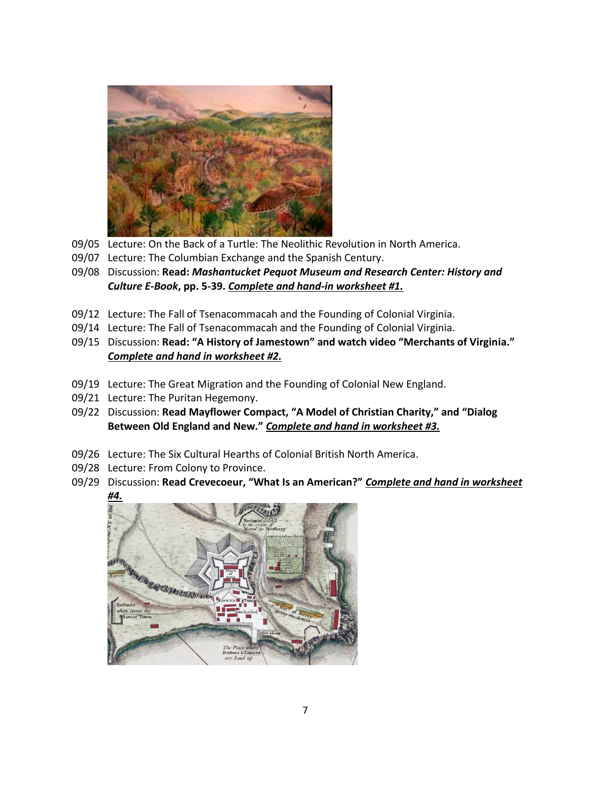

- 09/05 Lecture: On the Back of a Turtle: The Neolithic Revolution in North America.
- 09/07 Lecture: The Columbian Exchange and the Spanish Century.
- 09/08 Discussion: **Read:** *Mashantucket Pequot Museum and Research Center: History and Culture E-Book***, pp. 5-39.** *Complete and hand-in worksheet #1.*
- 09/12 Lecture: The Fall of Tsenacommacah and the Founding of Colonial Virginia.
- 09/14 Lecture: The Fall of Tsenacommacah and the Founding of Colonial Virginia.
- 09/15 Discussion: **Read: "A History of Jamestown" and watch video "Merchants of Virginia."** *Complete and hand in worksheet #2.*
- 09/19 Lecture: The Great Migration and the Founding of Colonial New England.
- 09/21 Lecture: The Puritan Hegemony.
- 09/22 Discussion: **Read Mayflower Compact, "A Model of Christian Charity," and "Dialog Between Old England and New."** *Complete and hand in worksheet #3.*
- 09/26 Lecture: The Six Cultural Hearths of Colonial British North America.
- 09/28 Lecture: From Colony to Province.
- 09/29 Discussion: **Read Crevecoeur, "What Is an American?"** *Complete and hand in worksheet #4.*

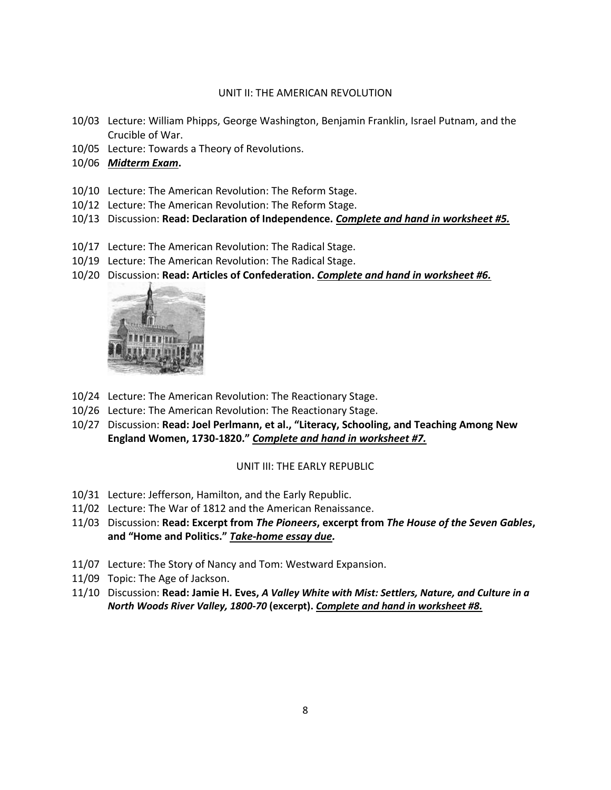#### UNIT II: THE AMERICAN REVOLUTION

- 10/03 Lecture: William Phipps, George Washington, Benjamin Franklin, Israel Putnam, and the Crucible of War.
- 10/05 Lecture: Towards a Theory of Revolutions.
- 10/06 *Midterm Exam***.**
- 10/10 Lecture: The American Revolution: The Reform Stage.
- 10/12 Lecture: The American Revolution: The Reform Stage.
- 10/13 Discussion: **Read: Declaration of Independence.** *Complete and hand in worksheet #5.*
- 10/17 Lecture: The American Revolution: The Radical Stage.
- 10/19 Lecture: The American Revolution: The Radical Stage.
- 10/20 Discussion: **Read: Articles of Confederation.** *Complete and hand in worksheet #6.*



- 10/24 Lecture: The American Revolution: The Reactionary Stage.
- 10/26 Lecture: The American Revolution: The Reactionary Stage.
- 10/27 Discussion: **Read: Joel Perlmann, et al., "Literacy, Schooling, and Teaching Among New England Women, 1730-1820."** *Complete and hand in worksheet #7.*

#### UNIT III: THE EARLY REPUBLIC

- 10/31 Lecture: Jefferson, Hamilton, and the Early Republic.
- 11/02 Lecture: The War of 1812 and the American Renaissance.
- 11/03 Discussion: **Read: Excerpt from** *The Pioneers***, excerpt from** *The House of the Seven Gables***, and "Home and Politics."** *Take-home essay due.*
- 11/07 Lecture: The Story of Nancy and Tom: Westward Expansion.
- 11/09 Topic: The Age of Jackson.
- 11/10 Discussion: **Read: Jamie H. Eves,** *A Valley White with Mist: Settlers, Nature, and Culture in a North Woods River Valley, 1800-70* **(excerpt).** *Complete and hand in worksheet #8.*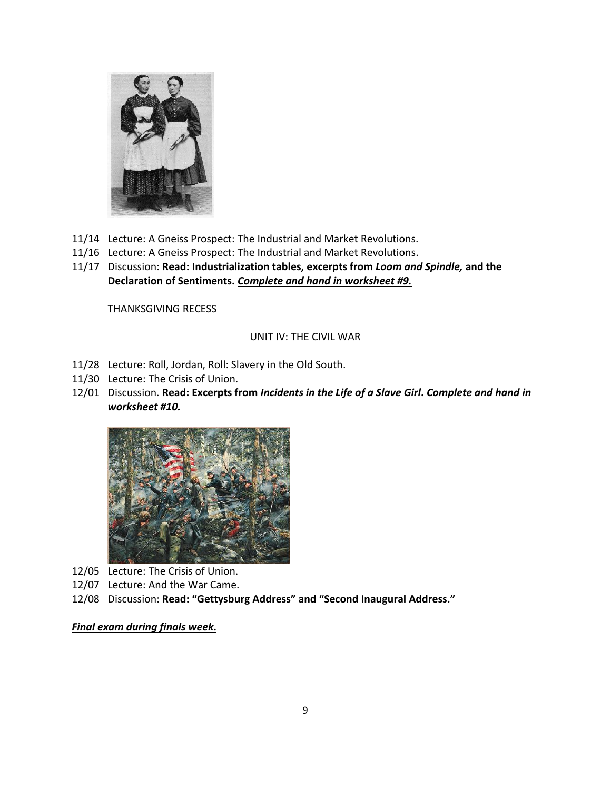

- 11/14 Lecture: A Gneiss Prospect: The Industrial and Market Revolutions.
- 11/16 Lecture: A Gneiss Prospect: The Industrial and Market Revolutions.
- 11/17 Discussion: **Read: Industrialization tables, excerpts from** *Loom and Spindle,* **and the Declaration of Sentiments.** *Complete and hand in worksheet #9.*

THANKSGIVING RECESS

#### UNIT IV: THE CIVIL WAR

- 11/28 Lecture: Roll, Jordan, Roll: Slavery in the Old South.
- 11/30 Lecture: The Crisis of Union.
- 12/01 Discussion. **Read: Excerpts from** *Incidents in the Life of a Slave Girl***.** *Complete and hand in worksheet #10.*



- 12/05 Lecture: The Crisis of Union.
- 12/07 Lecture: And the War Came.
- 12/08 Discussion: **Read: "Gettysburg Address" and "Second Inaugural Address."**

#### *Final exam during finals week.*